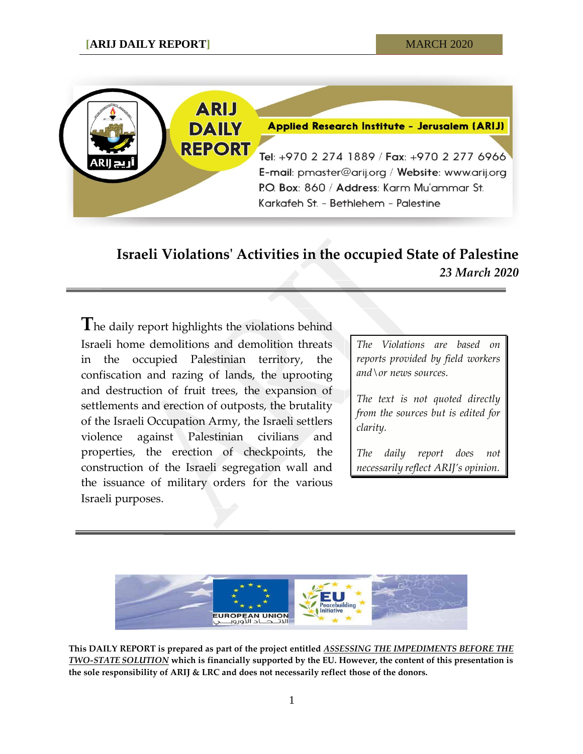

## **Israeli Violations' Activities in the occupied State of Palestine** *23 March 2020*

**T**he daily report highlights the violations behind Israeli home demolitions and demolition threats in the occupied Palestinian territory, the confiscation and razing of lands, the uprooting and destruction of fruit trees, the expansion of settlements and erection of outposts, the brutality of the Israeli Occupation Army, the Israeli settlers violence against Palestinian civilians and properties, the erection of checkpoints, the construction of the Israeli segregation wall and the issuance of military orders for the various Israeli purposes.

*The Violations are based on reports provided by field workers and\or news sources.*

*The text is not quoted directly from the sources but is edited for clarity.*

*The daily report does not necessarily reflect ARIJ's opinion.*



**This DAILY REPORT is prepared as part of the project entitled** *ASSESSING THE IMPEDIMENTS BEFORE THE TWO-STATE SOLUTION* **which is financially supported by the EU. However, the content of this presentation is the sole responsibility of ARIJ & LRC and does not necessarily reflect those of the donors.**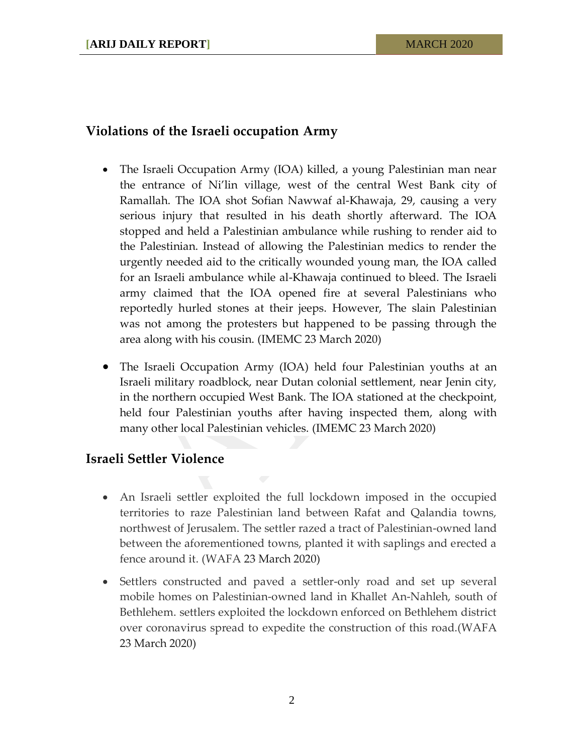## **Violations of the Israeli occupation Army**

- The Israeli Occupation Army (IOA) killed, a young Palestinian man near the entrance of Ni'lin village, west of the central West Bank city of Ramallah. The IOA shot Sofian Nawwaf al-Khawaja, 29, causing a very serious injury that resulted in his death shortly afterward. The IOA stopped and held a Palestinian ambulance while rushing to render aid to the Palestinian. Instead of allowing the Palestinian medics to render the urgently needed aid to the critically wounded young man, the IOA called for an Israeli ambulance while al-Khawaja continued to bleed. The Israeli army claimed that the IOA opened fire at several Palestinians who reportedly hurled stones at their jeeps. However, The slain Palestinian was not among the protesters but happened to be passing through the area along with his cousin. (IMEMC 23 March 2020)
- The Israeli Occupation Army (IOA) held four Palestinian youths at an Israeli military roadblock, near Dutan colonial settlement, near Jenin city, in the northern occupied West Bank. The IOA stationed at the checkpoint, held four Palestinian youths after having inspected them, along with many other local Palestinian vehicles. (IMEMC 23 March 2020)

## **Israeli Settler Violence**

- An Israeli settler exploited the full lockdown imposed in the occupied territories to raze Palestinian land between Rafat and Qalandia towns, northwest of Jerusalem. The settler razed a tract of Palestinian-owned land between the aforementioned towns, planted it with saplings and erected a fence around it. (WAFA 23 March 2020)
- Settlers constructed and paved a settler-only road and set up several mobile homes on Palestinian-owned land in Khallet An-Nahleh, south of Bethlehem. settlers exploited the lockdown enforced on Bethlehem district over coronavirus spread to expedite the construction of this road.(WAFA 23 March 2020)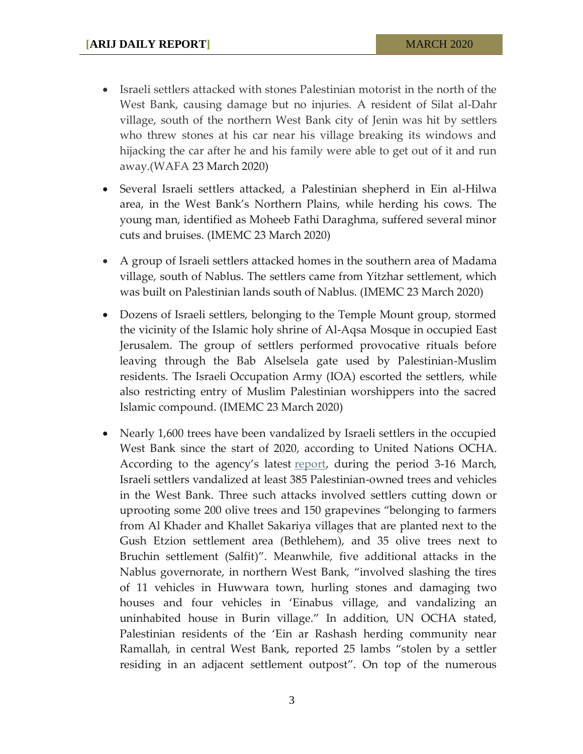- Israeli settlers attacked with stones Palestinian motorist in the north of the West Bank, causing damage but no injuries. A resident of Silat al-Dahr village, south of the northern West Bank city of Jenin was hit by settlers who threw stones at his car near his village breaking its windows and hijacking the car after he and his family were able to get out of it and run away.(WAFA 23 March 2020)
- Several Israeli settlers attacked, a Palestinian shepherd in Ein al-Hilwa area, in the West Bank's Northern Plains, while herding his cows. The young man, identified as Moheeb Fathi Daraghma, suffered several minor cuts and bruises. (IMEMC 23 March 2020)
- A group of Israeli settlers attacked homes in the southern area of Madama village, south of Nablus. The settlers came from Yitzhar settlement, which was built on Palestinian lands south of Nablus. (IMEMC 23 March 2020)
- Dozens of Israeli settlers, belonging to the Temple Mount group, stormed the vicinity of the Islamic holy shrine of Al-Aqsa Mosque in occupied East Jerusalem. The group of settlers performed provocative rituals before leaving through the Bab Alselsela gate used by Palestinian-Muslim residents. The Israeli Occupation Army (IOA) escorted the settlers, while also restricting entry of Muslim Palestinian worshippers into the sacred Islamic compound. (IMEMC 23 March 2020)
- Nearly 1,600 trees have been vandalized by Israeli settlers in the occupied West Bank since the start of 2020, according to United Nations OCHA. According to the agency's latest [report,](https://www.ochaopt.org/poc/3-16-march-2020) during the period 3-16 March, Israeli settlers vandalized at least 385 Palestinian-owned trees and vehicles in the West Bank. Three such attacks involved settlers cutting down or uprooting some 200 olive trees and 150 grapevines "belonging to farmers from Al Khader and Khallet Sakariya villages that are planted next to the Gush Etzion settlement area (Bethlehem), and 35 olive trees next to Bruchin settlement (Salfit)". Meanwhile, five additional attacks in the Nablus governorate, in northern West Bank, "involved slashing the tires of 11 vehicles in Huwwara town, hurling stones and damaging two houses and four vehicles in 'Einabus village, and vandalizing an uninhabited house in Burin village." In addition, UN OCHA stated, Palestinian residents of the 'Ein ar Rashash herding community near Ramallah, in central West Bank, reported 25 lambs "stolen by a settler residing in an adjacent settlement outpost". On top of the numerous